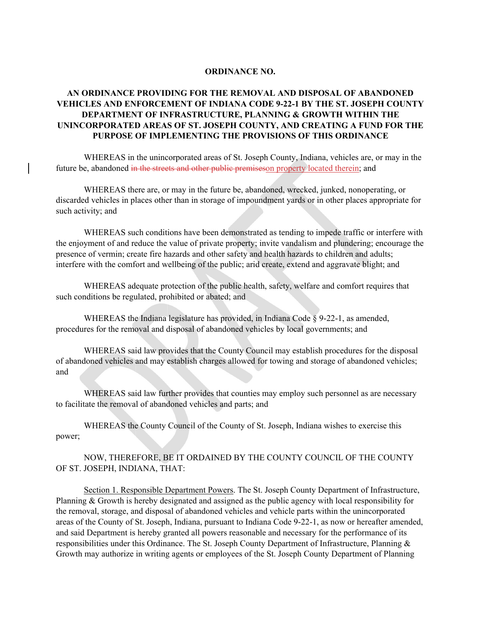## **ORDINANCE NO.**

## **AN ORDINANCE PROVIDING FOR THE REMOVAL AND DISPOSAL OF ABANDONED VEHICLES AND ENFORCEMENT OF INDIANA CODE 9-22-1 BY THE ST. JOSEPH COUNTY DEPARTMENT OF INFRASTRUCTURE, PLANNING & GROWTH WITHIN THE UNINCORPORATED AREAS OF ST. JOSEPH COUNTY, AND CREATING A FUND FOR THE PURPOSE OF IMPLEMENTING THE PROVISIONS OF THIS ORDINANCE**

WHEREAS in the unincorporated areas of St. Joseph County, Indiana, vehicles are, or may in the future be, abandoned in the streets and other public premises on property located therein; and

WHEREAS there are, or may in the future be, abandoned, wrecked, junked, nonoperating, or discarded vehicles in places other than in storage of impoundment yards or in other places appropriate for such activity; and

WHEREAS such conditions have been demonstrated as tending to impede traffic or interfere with the enjoyment of and reduce the value of private property; invite vandalism and plundering; encourage the presence of vermin; create fire hazards and other safety and health hazards to children and adults; interfere with the comfort and wellbeing of the public; arid create, extend and aggravate blight; and

WHEREAS adequate protection of the public health, safety, welfare and comfort requires that such conditions be regulated, prohibited or abated; and

WHEREAS the Indiana legislature has provided, in Indiana Code  $\S 9-22-1$ , as amended, procedures for the removal and disposal of abandoned vehicles by local governments; and

WHEREAS said law provides that the County Council may establish procedures for the disposal of abandoned vehicles and may establish charges allowed for towing and storage of abandoned vehicles; and

WHEREAS said law further provides that counties may employ such personnel as are necessary to facilitate the removal of abandoned vehicles and parts; and

WHEREAS the County Council of the County of St. Joseph, Indiana wishes to exercise this power;

NOW, THEREFORE, BE IT ORDAINED BY THE COUNTY COUNCIL OF THE COUNTY OF ST. JOSEPH, INDIANA, THAT:

Section 1. Responsible Department Powers. The St. Joseph County Department of Infrastructure, Planning & Growth is hereby designated and assigned as the public agency with local responsibility for the removal, storage, and disposal of abandoned vehicles and vehicle parts within the unincorporated areas of the County of St. Joseph, Indiana, pursuant to Indiana Code 9-22-1, as now or hereafter amended, and said Department is hereby granted all powers reasonable and necessary for the performance of its responsibilities under this Ordinance. The St. Joseph County Department of Infrastructure, Planning & Growth may authorize in writing agents or employees of the St. Joseph County Department of Planning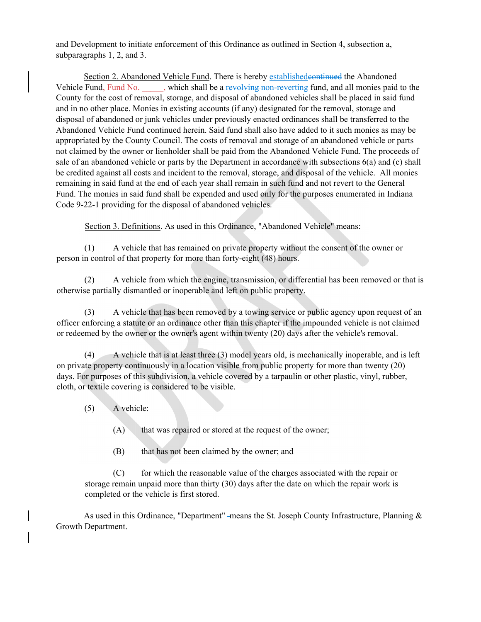and Development to initiate enforcement of this Ordinance as outlined in Section 4, subsection a, subparagraphs 1, 2, and 3.

Section 2. Abandoned Vehicle Fund. There is hereby establishedcontinued the Abandoned Vehicle Fund, Fund No. , which shall be a revolving non-reverting fund, and all monies paid to the County for the cost of removal, storage, and disposal of abandoned vehicles shall be placed in said fund and in no other place. Monies in existing accounts (if any) designated for the removal, storage and disposal of abandoned or junk vehicles under previously enacted ordinances shall be transferred to the Abandoned Vehicle Fund continued herein. Said fund shall also have added to it such monies as may be appropriated by the County Council. The costs of removal and storage of an abandoned vehicle or parts not claimed by the owner or lienholder shall be paid from the Abandoned Vehicle Fund. The proceeds of sale of an abandoned vehicle or parts by the Department in accordance with subsections 6(a) and (c) shall be credited against all costs and incident to the removal, storage, and disposal of the vehicle. All monies remaining in said fund at the end of each year shall remain in such fund and not revert to the General Fund. The monies in said fund shall be expended and used only for the purposes enumerated in Indiana Code 9-22-1 providing for the disposal of abandoned vehicles.

Section 3. Definitions. As used in this Ordinance, "Abandoned Vehicle" means:

(1) A vehicle that has remained on private property without the consent of the owner or person in control of that property for more than forty-eight (48) hours.

(2) A vehicle from which the engine, transmission, or differential has been removed or that is otherwise partially dismantled or inoperable and left on public property.

(3) A vehicle that has been removed by a towing service or public agency upon request of an officer enforcing a statute or an ordinance other than this chapter if the impounded vehicle is not claimed or redeemed by the owner or the owner's agent within twenty (20) days after the vehicle's removal.

(4) A vehicle that is at least three (3) model years old, is mechanically inoperable, and is left on private property continuously in a location visible from public property for more than twenty (20) days. For purposes of this subdivision, a vehicle covered by a tarpaulin or other plastic, vinyl, rubber, cloth, or textile covering is considered to be visible.

- (5) A vehicle:
	- (A) that was repaired or stored at the request of the owner;
	- (B) that has not been claimed by the owner; and

(C) for which the reasonable value of the charges associated with the repair or storage remain unpaid more than thirty (30) days after the date on which the repair work is completed or the vehicle is first stored.

As used in this Ordinance, "Department" -means the St. Joseph County Infrastructure, Planning  $\&$ Growth Department.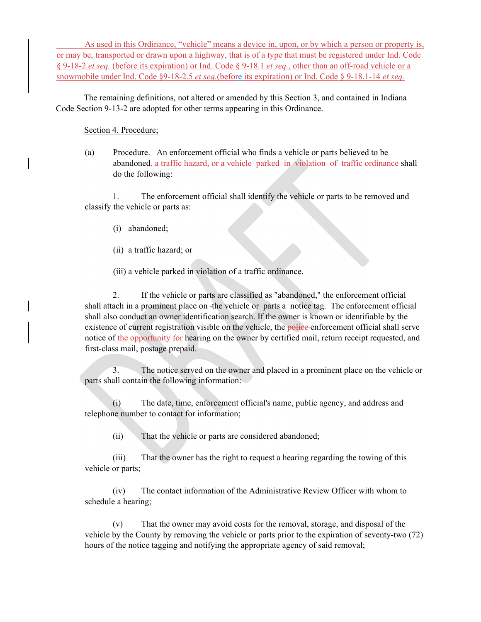As used in this Ordinance, "vehicle" means a device in, upon, or by which a person or property is, or may be, transported or drawn upon a highway, that is of a type that must be registered under Ind. Code § 9-18-2 *et seq.* (before its expiration) or Ind. Code § 9-18.1 *et seq.*, other than an off-road vehicle or a snowmobile under Ind. Code §9-18-2.5 *et seq.*(before its expiration) or Ind. Code § 9-18.1-14 *et seq.* 

The remaining definitions, not altered or amended by this Section 3, and contained in Indiana Code Section 9-13-2 are adopted for other terms appearing in this Ordinance.

## Section 4. Procedure;

(a) Procedure. An enforcement official who finds a vehicle or parts believed to be abandoned, a traffic hazard, or a vehicle parked in violation of traffic ordinance shall do the following:

1. The enforcement official shall identify the vehicle or parts to be removed and classify the vehicle or parts as:

- (i) abandoned;
- (ii) a traffic hazard; or

(iii) a vehicle parked in violation of a traffic ordinance.

2. If the vehicle or parts are classified as "abandoned," the enforcement official shall attach in a prominent place on the vehicle or parts a notice tag. The enforcement official shall also conduct an owner identification search. If the owner is known or identifiable by the existence of current registration visible on the vehicle, the **police** enforcement official shall serve notice of the opportunity for hearing on the owner by certified mail, return receipt requested, and first-class mail, postage prepaid.

3. The notice served on the owner and placed in a prominent place on the vehicle or parts shall contain the following information:

(i) The date, time, enforcement official's name, public agency, and address and telephone number to contact for information;

(ii) That the vehicle or parts are considered abandoned;

(iii) That the owner has the right to request a hearing regarding the towing of this vehicle or parts;

(iv) The contact information of the Administrative Review Officer with whom to schedule a hearing;

(v) That the owner may avoid costs for the removal, storage, and disposal of the vehicle by the County by removing the vehicle or parts prior to the expiration of seventy-two (72) hours of the notice tagging and notifying the appropriate agency of said removal;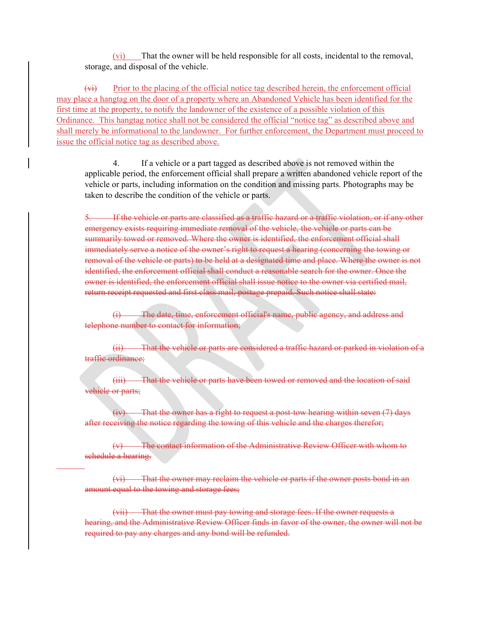(vi) That the owner will be held responsible for all costs, incidental to the removal, storage, and disposal of the vehicle.

 $(x<sub>i</sub>)$  Prior to the placing of the official notice tag described herein, the enforcement official may place a hangtag on the door of a property where an Abandoned Vehicle has been identified for the first time at the property, to notify the landowner of the existence of a possible violation of this Ordinance. This hangtag notice shall not be considered the official "notice tag" as described above and shall merely be informational to the landowner. For further enforcement, the Department must proceed to issue the official notice tag as described above.

4. If a vehicle or a part tagged as described above is not removed within the applicable period, the enforcement official shall prepare a written abandoned vehicle report of the vehicle or parts, including information on the condition and missing parts. Photographs may be taken to describe the condition of the vehicle or parts.

5. If the vehicle or parts are classified as a traffic hazard or a traffic violation, or if any other emergency exists requiring immediate removal of the vehicle, the vehicle or parts can be summarily towed or removed. Where the owner is identified, the enforcement official shall immediately serve a notice of the owner's right to request a hearing (concerning the towing or removal of the vehicle or parts) to be held at a designated time and place. Where the owner is not identified, the enforcement official shall conduct a reasonable search for the owner. Once the owner is identified, the enforcement official shall issue notice to the owner via certified mail, return receipt requested and first class mail, postage prepaid. Such notice shall state:

The date, time, enforcement official's name, public agency, and address and telephone number to contact for information;

(ii) That the vehicle or parts are considered a traffic hazard or parked in violation of a traffic ordinance;

(iii) That the vehicle or parts have been towed or removed and the location of said vehicle or parts;

(iv) That the owner has a right to request a post-tow hearing within seven (7) days after receiving the notice regarding the towing of this vehicle and the charges therefor;

(v) The contact information of the Administrative Review Officer with whom to schedule a hearing.

 $\overline{a}$ 

(vi) That the owner may reclaim the vehicle or parts if the owner posts bond in an amount equal to the towing and storage fees;

(vii) That the owner must pay towing and storage fees. If the owner requests a hearing, and the Administrative Review Officer finds in favor of the owner, the owner will not be required to pay any charges and any bond will be refunded.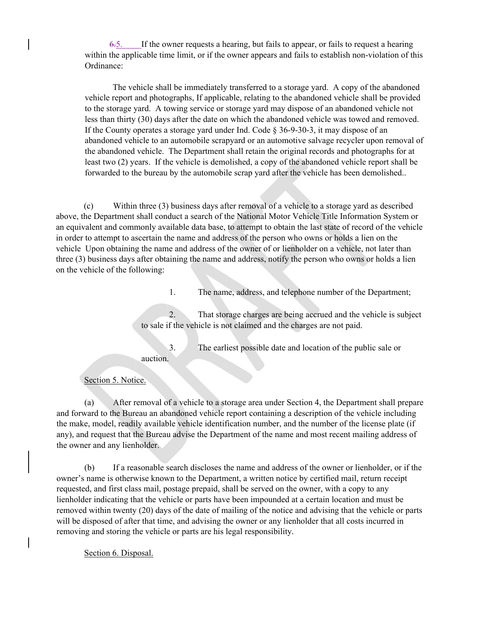6.5. If the owner requests a hearing, but fails to appear, or fails to request a hearing within the applicable time limit, or if the owner appears and fails to establish non-violation of this Ordinance:

The vehicle shall be immediately transferred to a storage yard. A copy of the abandoned vehicle report and photographs, If applicable, relating to the abandoned vehicle shall be provided to the storage yard. A towing service or storage yard may dispose of an abandoned vehicle not less than thirty (30) days after the date on which the abandoned vehicle was towed and removed. If the County operates a storage yard under Ind. Code  $\S$  36-9-30-3, it may dispose of an abandoned vehicle to an automobile scrapyard or an automotive salvage recycler upon removal of the abandoned vehicle. The Department shall retain the original records and photographs for at least two (2) years. If the vehicle is demolished, a copy of the abandoned vehicle report shall be forwarded to the bureau by the automobile scrap yard after the vehicle has been demolished..

(c) Within three (3) business days after removal of a vehicle to a storage yard as described above, the Department shall conduct a search of the National Motor Vehicle Title Information System or an equivalent and commonly available data base, to attempt to obtain the last state of record of the vehicle in order to attempt to ascertain the name and address of the person who owns or holds a lien on the vehicle Upon obtaining the name and address of the owner of or lienholder on a vehicle, not later than three (3) business days after obtaining the name and address, notify the person who owns or holds a lien on the vehicle of the following:

1. The name, address, and telephone number of the Department;

2. That storage charges are being accrued and the vehicle is subject to sale if the vehicle is not claimed and the charges are not paid.

3. The earliest possible date and location of the public sale or

auction.

Section 5. Notice.

(a) After removal of a vehicle to a storage area under Section 4, the Department shall prepare and forward to the Bureau an abandoned vehicle report containing a description of the vehicle including the make, model, readily available vehicle identification number, and the number of the license plate (if any), and request that the Bureau advise the Department of the name and most recent mailing address of the owner and any lienholder.

(b) If a reasonable search discloses the name and address of the owner or lienholder, or if the owner's name is otherwise known to the Department, a written notice by certified mail, return receipt requested, and first class mail, postage prepaid, shall be served on the owner, with a copy to any lienholder indicating that the vehicle or parts have been impounded at a certain location and must be removed within twenty (20) days of the date of mailing of the notice and advising that the vehicle or parts will be disposed of after that time, and advising the owner or any lienholder that all costs incurred in removing and storing the vehicle or parts are his legal responsibility.

Section 6. Disposal.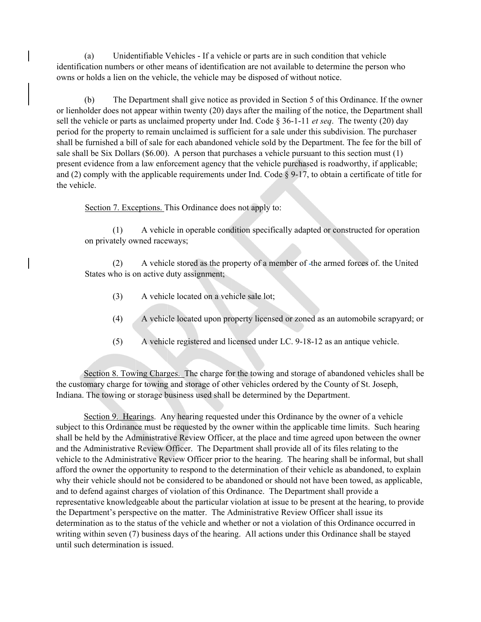(a) Unidentifiable Vehicles - If a vehicle or parts are in such condition that vehicle identification numbers or other means of identification are not available to determine the person who owns or holds a lien on the vehicle, the vehicle may be disposed of without notice.

(b) The Department shall give notice as provided in Section 5 of this Ordinance. If the owner or lienholder does not appear within twenty (20) days after the mailing of the notice, the Department shall sell the vehicle or parts as unclaimed property under Ind. Code § 36-1-11 *et seq*. The twenty (20) day period for the property to remain unclaimed is sufficient for a sale under this subdivision. The purchaser shall be furnished a bill of sale for each abandoned vehicle sold by the Department. The fee for the bill of sale shall be Six Dollars (\$6.00). A person that purchases a vehicle pursuant to this section must (1) present evidence from a law enforcement agency that the vehicle purchased is roadworthy, if applicable; and (2) comply with the applicable requirements under Ind. Code  $\S$  9-17, to obtain a certificate of title for the vehicle.

Section 7. Exceptions. This Ordinance does not apply to:

(1) A vehicle in operable condition specifically adapted or constructed for operation on privately owned raceways;

(2) A vehicle stored as the property of a member of -the armed forces of. the United States who is on active duty assignment;

- (3) A vehicle located on a vehicle sale lot;
- (4) A vehicle located upon property licensed or zoned as an automobile scrapyard; or
- (5) A vehicle registered and licensed under LC. 9-18-12 as an antique vehicle.

Section 8. Towing Charges. The charge for the towing and storage of abandoned vehicles shall be the customary charge for towing and storage of other vehicles ordered by the County of St. Joseph, Indiana. The towing or storage business used shall be determined by the Department.

Section 9. Hearings. Any hearing requested under this Ordinance by the owner of a vehicle subject to this Ordinance must be requested by the owner within the applicable time limits. Such hearing shall be held by the Administrative Review Officer, at the place and time agreed upon between the owner and the Administrative Review Officer. The Department shall provide all of its files relating to the vehicle to the Administrative Review Officer prior to the hearing. The hearing shall be informal, but shall afford the owner the opportunity to respond to the determination of their vehicle as abandoned, to explain why their vehicle should not be considered to be abandoned or should not have been towed, as applicable, and to defend against charges of violation of this Ordinance. The Department shall provide a representative knowledgeable about the particular violation at issue to be present at the hearing, to provide the Department's perspective on the matter. The Administrative Review Officer shall issue its determination as to the status of the vehicle and whether or not a violation of this Ordinance occurred in writing within seven (7) business days of the hearing. All actions under this Ordinance shall be stayed until such determination is issued.